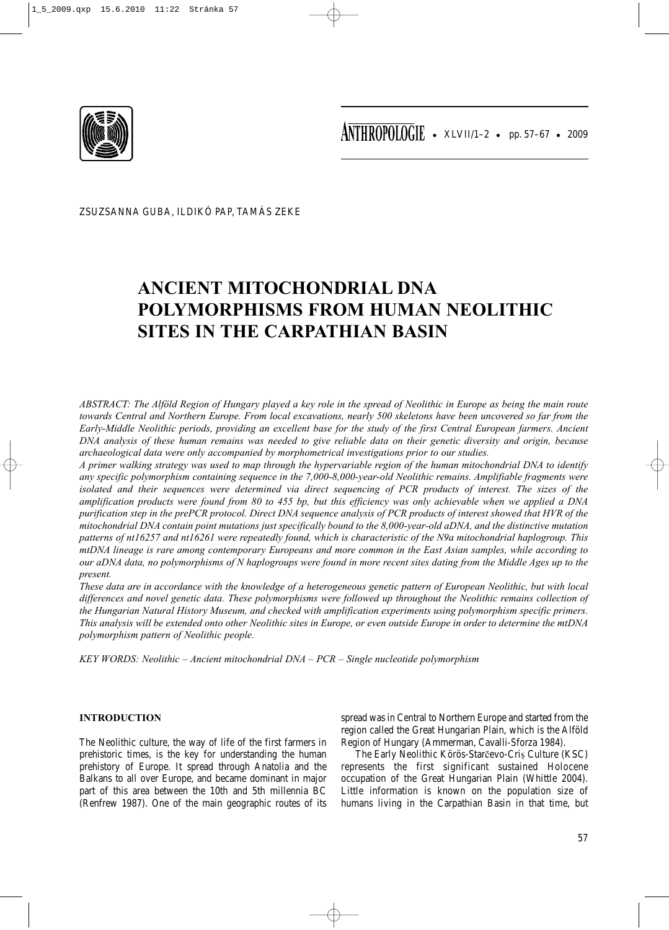

ZSUZSANNA GUBA, ILDIKÓ PAP, TAMÁS ZEKE

# **ANCIENT MITOCHONDRIAL DNA POLYMORPHISMS FROM HUMAN NEOLITHIC SITES IN THE CARPATHIAN BASIN**

*ABSTRACT: The Alföld Region of Hungary played a key role in the spread of Neolithic in Europe as being the main route towards Central and Northern Europe. From local excavations, nearly 500 skeletons have been uncovered so far from the Early-Middle Neolithic periods, providing an excellent base for the study of the first Central European farmers. Ancient DNA analysis of these human remains was needed to give reliable data on their genetic diversity and origin, because archaeological data were only accompanied by morphometrical investigations prior to our studies.*

*A primer walking strategy was used to map through the hypervariable region of the human mitochondrial DNA to identify any specific polymorphism containing sequence in the 7,000-8,000-year-old Neolithic remains. Amplifiable fragments were isolated and their sequences were determined via direct sequencing of PCR products of interest. The sizes of the amplification products were found from 80 to 455 bp, but this efficiency was only achievable when we applied a DNA purification step in the prePCR protocol. Direct DNA sequence analysis of PCR products of interest showed that HVR of the mitochondrial DNA contain point mutations just specifically bound to the 8,000-year-old aDNA, and the distinctive mutation patterns of nt16257 and nt16261 were repeatedly found, which is characteristic of the N9a mitochondrial haplogroup. This mtDNA lineage is rare among contemporary Europeans and more common in the East Asian samples, while according to our aDNA data, no polymorphisms of N haplogroups were found in more recent sites dating from the Middle Ages up to the present.* 

*These data are in accordance with the knowledge of a heterogeneous genetic pattern of European Neolithic, but with local differences and novel genetic data. These polymorphisms were followed up throughout the Neolithic remains collection of the Hungarian Natural History Museum, and checked with amplification experiments using polymorphism specific primers. This analysis will be extended onto other Neolithic sites in Europe, or even outside Europe in order to determine the mtDNA polymorphism pattern of Neolithic people.*

*KEY WORDS: Neolithic – Ancient mitochondrial DNA – PCR – Single nucleotide polymorphism*

## **INTRODUCTION**

The Neolithic culture, the way of life of the first farmers in prehistoric times, is the key for understanding the human prehistory of Europe. It spread through Anatolia and the Balkans to all over Europe, and became dominant in major part of this area between the 10th and 5th millennia BC (Renfrew 1987). One of the main geographic routes of its spread was in Central to Northern Europe and started from the region called the Great Hungarian Plain, which is the Alföld Region of Hungary (Ammerman, Cavalli-Sforza 1984).

The Early Neolithic Körös-Starčevo-Criș Culture (KSC) represents the first significant sustained Holocene occupation of the Great Hungarian Plain (Whittle 2004). Little information is known on the population size of humans living in the Carpathian Basin in that time, but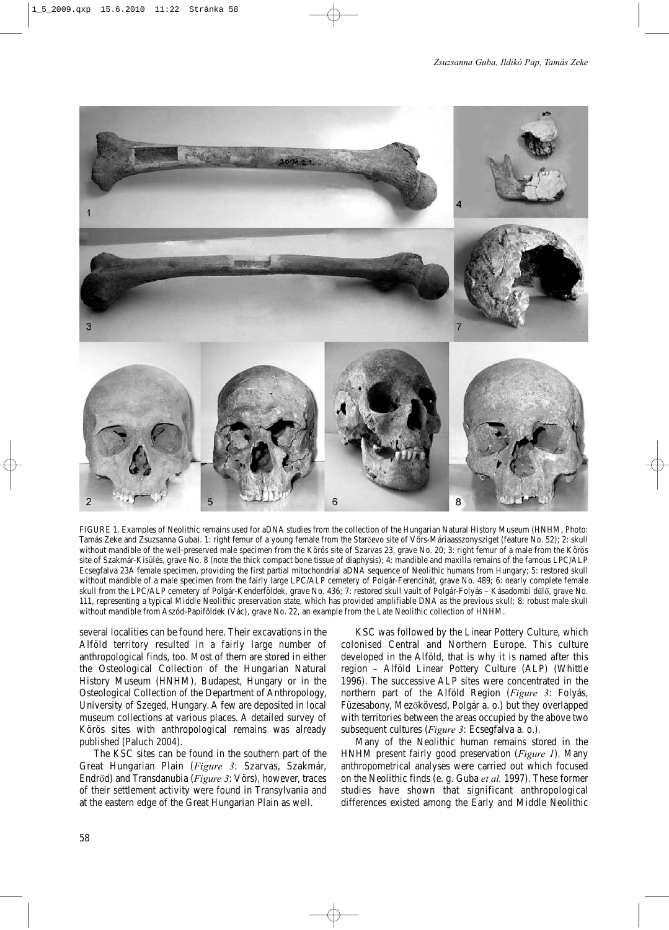

FIGURE 1. Examples of Neolithic remains used for aDNA studies from the collection of the Hungarian Natural History Museum (HNHM, Photo: Tamás Zeke and Zsuzsanna Guba). 1: right femur of a young female from the Starčevo site of Vörs-Máriaasszonysziget (feature No. 52); 2: skull without mandible of the well-preserved male specimen from the Körös site of Szarvas 23, grave No. 20; 3: right femur of a male from the Körös site of Szakmár-Kisülés, grave No. 8 (note the thick compact bone tissue of diaphysis); 4: mandible and maxilla remains of the famous LPC/ALP Ecsegfalva 23A female specimen, providing the first partial mitochondrial aDNA sequence of Neolithic humans from Hungary; 5: restored skull without mandible of a male specimen from the fairly large LPC/ALP cemetery of Polgár-Ferencihát, grave No. 489; 6: nearly complete female skull from the LPC/ALP cemetery of Polgár-Kenderföldek, grave No. 436; 7: restored skull vault of Polgár-Folyás – Kásadombi dűlő, grave No. 111, representing a typical Middle Neolithic preservation state, which has provided amplifiable DNA as the previous skull; 8: robust male skull without mandible from Aszód-Papiföldek (Vác), grave No. 22, an example from the Late Neolithic collection of HNHM.

several localities can be found here. Their excavations in the Alföld territory resulted in a fairly large number of anthropological finds, too. Most of them are stored in either the Osteological Collection of the Hungarian Natural History Museum (HNHM), Budapest, Hungary or in the Osteological Collection of the Department of Anthropology, University of Szeged, Hungary. A few are deposited in local museum collections at various places. A detailed survey of Körös sites with anthropological remains was already published (Paluch 2004).

The KSC sites can be found in the southern part of the Great Hungarian Plain (*Figure 3*: Szarvas, Szakmár, Endrőd) and Transdanubia (*Figure 3*: Vörs), however, traces of their settlement activity were found in Transylvania and at the eastern edge of the Great Hungarian Plain as well.

KSC was followed by the Linear Pottery Culture, which colonised Central and Northern Europe. This culture developed in the Alföld, that is why it is named after this region – Alföld Linear Pottery Culture (ALP) (Whittle 1996). The successive ALP sites were concentrated in the northern part of the Alföld Region (*Figure 3*: Folyás, Füzesabony, Mezőkövesd, Polgár a. o.) but they overlapped with territories between the areas occupied by the above two subsequent cultures (*Figure 3*: Ecsegfalva a. o.).

Many of the Neolithic human remains stored in the HNHM present fairly good preservation (*Figure 1*). Many anthropometrical analyses were carried out which focused on the Neolithic finds (e. g. Guba *et al.* 1997). These former studies have shown that significant anthropological differences existed among the Early and Middle Neolithic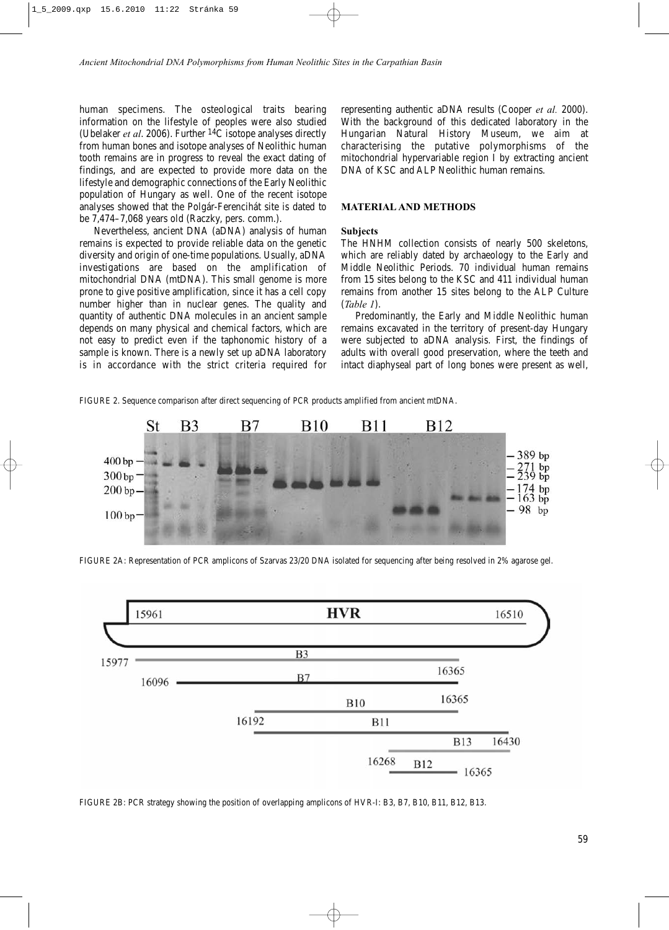human specimens. The osteological traits bearing information on the lifestyle of peoples were also studied (Ubelaker *et al*. 2006). Further 14C isotope analyses directly from human bones and isotope analyses of Neolithic human tooth remains are in progress to reveal the exact dating of findings, and are expected to provide more data on the lifestyle and demographic connections of the Early Neolithic population of Hungary as well. One of the recent isotope analyses showed that the Polgár-Ferencihát site is dated to be 7,474–7,068 years old (Raczky, pers. comm.).

Nevertheless, ancient DNA (aDNA) analysis of human remains is expected to provide reliable data on the genetic diversity and origin of one-time populations. Usually, aDNA investigations are based on the amplification of mitochondrial DNA (mtDNA). This small genome is more prone to give positive amplification, since it has a cell copy number higher than in nuclear genes. The quality and quantity of authentic DNA molecules in an ancient sample depends on many physical and chemical factors, which are not easy to predict even if the taphonomic history of a sample is known. There is a newly set up aDNA laboratory is in accordance with the strict criteria required for representing authentic aDNA results (Cooper *et al.* 2000). With the background of this dedicated laboratory in the Hungarian Natural History Museum, we aim at characterising the putative polymorphisms of the mitochondrial hypervariable region I by extracting ancient DNA of KSC and ALP Neolithic human remains.

## **MATERIAL AND METHODS**

## **Subjects**

The HNHM collection consists of nearly 500 skeletons, which are reliably dated by archaeology to the Early and Middle Neolithic Periods. 70 individual human remains from 15 sites belong to the KSC and 411 individual human remains from another 15 sites belong to the ALP Culture (*Table 1*).

Predominantly, the Early and Middle Neolithic human remains excavated in the territory of present-day Hungary were subjected to aDNA analysis. First, the findings of adults with overall good preservation, where the teeth and intact diaphyseal part of long bones were present as well,

FIGURE 2. Sequence comparison after direct sequencing of PCR products amplified from ancient mtDNA.



FIGURE 2A: Representation of PCR amplicons of Szarvas 23/20 DNA isolated for sequencing after being resolved in 2% agarose gel.



FIGURE 2B: PCR strategy showing the position of overlapping amplicons of HVR-I: B3, B7, B10, B11, B12, B13.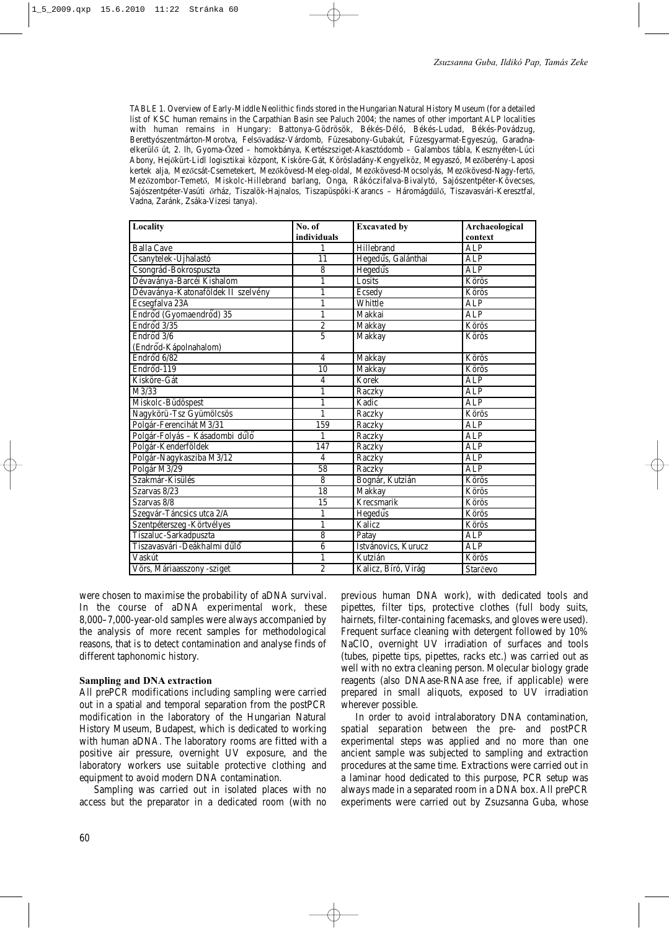TABLE 1. Overview of Early-Middle Neolithic finds stored in the Hungarian Natural History Museum (for a detailed list of KSC human remains in the Carpathian Basin see Paluch 2004; the names of other important ALP localities with human remains in Hungary: Battonya-Gödrösök, Békés-Déló, Békés-Ludad, Békés-Povádzug, Berettyószentmárton-Morotva, Felsővadász-Várdomb, Füzesabony-Gubakút, Füzesgyarmat-Egyeszúg, Garadnaelkerülő út, 2. lh, Gyoma-Őzed – homokbánya, Kertészsziget-Akasztódomb – Galambos tábla, Kesznyéten-Lúci Abony, Hejőkürt-Lidl logisztikai központ, Kisköre-Gát, Körösladány-Kengyelköz, Megyaszó, Mezőberény-Laposi kertek alja, Mezőcsát-Csemetekert, Mezőkövesd-Meleg-oldal, Mezőkövesd-Mocsolyás, Mezőkövesd-Nagy-fertő, Mezőzombor-Temető, Miskolc-Hillebrand barlang, Onga, Rákóczifalva-Bivalytó, Sajószentpéter-Kövecses, Sajószentpéter-Vasúti őrház, Tiszalök-Hajnalos, Tiszapüspöki-Karancs – Háromágdűlő, Tiszavasvári-Keresztfal, Vadna, Zaránk, Zsáka-Vizesi tanya).

| Locality                           | No. of         | <b>Excavated by</b> | Archaeological |
|------------------------------------|----------------|---------------------|----------------|
|                                    | individuals    |                     | context        |
| <b>Balla Cave</b>                  | 1              | Hillebrand          | ALP            |
| Csanytelek-Újhalastó               | 11             | Hegedűs, Galánthai  | <b>ALP</b>     |
| Csongrád-Bokrospuszta              | $\,$ 8 $\,$    | Hegedűs             | <b>ALP</b>     |
| Dévaványa-Barcéi Kishalom          | $\mathbf{1}$   | Losits              | Körös          |
| Dévaványa-Katonaföldek II szelvény | 1              | Ecsedy              | Körös          |
| Ecsegfalva 23A                     | 1              | Whittle             | <b>ALP</b>     |
| Endrőd (Gyomaendrőd) 35            | 1              | Makkai              | <b>ALP</b>     |
| Endrőd $3/35$                      | $\overline{2}$ | Makkay              | Körös          |
| Endrőd 3/6                         | $\overline{5}$ | Makkay              | Körös          |
| (Endrőd-Kápolnahalom)              |                |                     |                |
| Endrőd 6/82                        | $\overline{4}$ | Makkay              | Körös          |
| Endrőd-119                         | 10             | Makkay              | Körös          |
| Kisköre-Gát                        | $\overline{4}$ | Korek               | <b>ALP</b>     |
| M3/33                              | 1              | Raczky              | <b>ALP</b>     |
| Miskolc-Büdöspest                  | $\mathbf{1}$   | Kadic               | <b>ALP</b>     |
| Nagykörü-Tsz Gyümölcsös            | 1              | Raczky              | Körös          |
| Polgár-Ferencihát M3/31            | 159            | Raczky              | <b>ALP</b>     |
| Polgár-Folyás - Kásadombi dűlő     | 1              | Raczky              | <b>ALP</b>     |
| Polgár-Kenderföldek                | 147            | Raczky              | <b>ALP</b>     |
| Polgár-Nagykasziba M3/12           | $\overline{4}$ | Raczky              | <b>ALP</b>     |
| Polgár M3/29                       | 58             | Raczky              | <b>ALP</b>     |
| Szakmár-Kisülés                    | 8              | Bognár, Kutzián     | Körös          |
| Szarvas 8/23                       | 18             | Makkay              | Körös          |
| Szarvas 8/8                        | 15             | Krecsmarik          | Körös          |
| Szegvár-Táncsics utca 2/A          | 1              | Hegedűs             | Körös          |
| Szentpéterszeg - Körtvélyes        | $\mathbf{1}$   | Kalicz              | Körös          |
| Tiszaluc-Sarkadpuszta              | 8              | Patay               | ALP            |
| Tiszavasvári-Deákhalmi dűlő        | 6              | Istvánovics, Kurucz | <b>ALP</b>     |
| Vaskút                             | 1              | Kutzián             | Körös          |
| Vörs, Máriaasszony -sziget         | $\overline{2}$ | Kalicz, Bíró, Virág | Starčevo       |

were chosen to maximise the probability of aDNA survival. In the course of aDNA experimental work, these 8,000–7,000-year-old samples were always accompanied by the analysis of more recent samples for methodological reasons, that is to detect contamination and analyse finds of different taphonomic history.

#### **Sampling and DNA extraction**

All prePCR modifications including sampling were carried out in a spatial and temporal separation from the postPCR modification in the laboratory of the Hungarian Natural History Museum, Budapest, which is dedicated to working with human aDNA. The laboratory rooms are fitted with a positive air pressure, overnight UV exposure, and the laboratory workers use suitable protective clothing and equipment to avoid modern DNA contamination.

Sampling was carried out in isolated places with no access but the preparator in a dedicated room (with no previous human DNA work), with dedicated tools and pipettes, filter tips, protective clothes (full body suits, hairnets, filter-containing facemasks, and gloves were used). Frequent surface cleaning with detergent followed by 10% NaClO, overnight UV irradiation of surfaces and tools (tubes, pipette tips, pipettes, racks etc.) was carried out as well with no extra cleaning person. Molecular biology grade reagents (also DNAase-RNAase free, if applicable) were prepared in small aliquots, exposed to UV irradiation wherever possible.

In order to avoid intralaboratory DNA contamination, spatial separation between the pre- and postPCR experimental steps was applied and no more than one ancient sample was subjected to sampling and extraction procedures at the same time. Extractions were carried out in a laminar hood dedicated to this purpose, PCR setup was always made in a separated room in a DNA box. All prePCR experiments were carried out by Zsuzsanna Guba, whose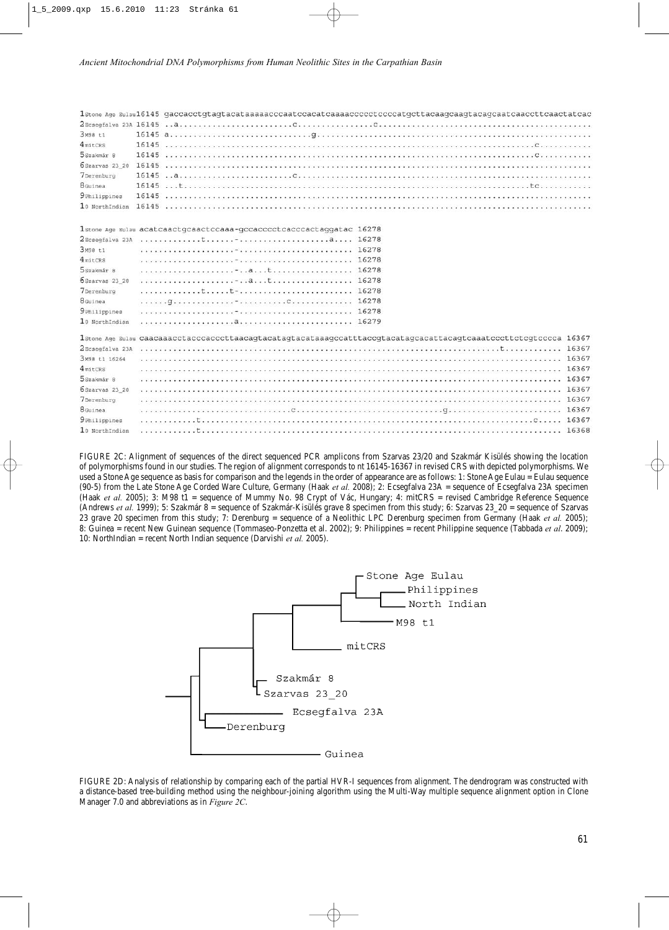| Зм98 t1              | 16145 $a_1, a_2, a_3, a_4, a_5, a_6, a_7, a_8, a_9, a_1, a_2, a_3, a_4, a_5, a_7, a_8, a_9, a_1, a_2, a_3, a_4, a_5, a_6, a_7, a_8, a_9, a_1, a_2, a_3, a_4, a_5, a_6, a_7, a_8, a_9, a_1, a_2, a_3, a_4, a_5, a_6, a_7, a_8, a_9, a_1, a_2, a_3, a_4, a_1, a_2, a_3, a_4, a_1, a_$ |
|----------------------|-------------------------------------------------------------------------------------------------------------------------------------------------------------------------------------------------------------------------------------------------------------------------------------|
| $4$ mitCRS           |                                                                                                                                                                                                                                                                                     |
| 5szakmár 8           |                                                                                                                                                                                                                                                                                     |
|                      |                                                                                                                                                                                                                                                                                     |
| 7Derenburg           |                                                                                                                                                                                                                                                                                     |
| 8 <sub>Guinea</sub>  |                                                                                                                                                                                                                                                                                     |
| <b>9</b> Philippines |                                                                                                                                                                                                                                                                                     |
|                      |                                                                                                                                                                                                                                                                                     |
|                      | 1stone Age Eulau acatcaactgcaactccaaa-gccacccctcacccactaggatac 16278                                                                                                                                                                                                                |
|                      |                                                                                                                                                                                                                                                                                     |
| Зм98 t1              |                                                                                                                                                                                                                                                                                     |
| 4 <sub>mitCRS</sub>  |                                                                                                                                                                                                                                                                                     |
| 5szakmár 8           | $\ldots \ldots \ldots \ldots \ldots \ldots \ldots$                                                                                                                                                                                                                                  |
| 6Szarvas 23 20       |                                                                                                                                                                                                                                                                                     |
| 7Derenburg           |                                                                                                                                                                                                                                                                                     |
| 8 Guinea             |                                                                                                                                                                                                                                                                                     |
| <b>9</b> Philippines |                                                                                                                                                                                                                                                                                     |
| 10 NorthIndian       | $\ldots \ldots \ldots \ldots \ldots \ldots$                                                                                                                                                                                                                                         |
|                      | 18tone Age Eulau Caacaaacctacccacccttaacagtacatagtacataaagccatttaccgtacatagcacattacagtcaaatcccttctcgtcccca 16367                                                                                                                                                                    |
|                      |                                                                                                                                                                                                                                                                                     |
| 3M98 t1 16264        |                                                                                                                                                                                                                                                                                     |
| $4$ mitCRS           |                                                                                                                                                                                                                                                                                     |
| 5szakmár 8           |                                                                                                                                                                                                                                                                                     |
| 6Szarvas 23 20       |                                                                                                                                                                                                                                                                                     |
| 7Derenburg           |                                                                                                                                                                                                                                                                                     |
| 8Guinea              | 16367                                                                                                                                                                                                                                                                               |
| <b>9</b> Philippines |                                                                                                                                                                                                                                                                                     |
| 10 NorthIndian       |                                                                                                                                                                                                                                                                                     |

FIGURE 2C: Alignment of sequences of the direct sequenced PCR amplicons from Szarvas 23/20 and Szakmár Kisülés showing the location of polymorphisms found in our studies. The region of alignment corresponds to nt 16145-16367 in revised CRS with depicted polymorphisms. We used a Stone Age sequence as basis for comparison and the legends in the order of appearance are as follows: 1: Stone Age Eulau = Eulau sequence (90-5) from the Late Stone Age Corded Ware Culture, Germany (Haak *et al.* 2008); 2: Ecsegfalva 23A = sequence of Ecsegfalva 23A specimen (Haak *et al.* 2005); 3: M98 t1 = sequence of Mummy No. 98 Crypt of Vác, Hungary; 4: mitCRS = revised Cambridge Reference Sequence (Andrews *et al.* 1999); 5: Szakmár 8 = sequence of Szakmár-Kisülés grave 8 specimen from this study; 6: Szarvas 23\_20 = sequence of Szarvas 23 grave 20 specimen from this study; 7: Derenburg = sequence of a Neolithic LPC Derenburg specimen from Germany (Haak *et al.* 2005); 8: Guinea = recent New Guinean sequence (Tommaseo-Ponzetta et al. 2002); 9: Philippines = recent Philippine sequence (Tabbada *et al*. 2009); 10: NorthIndian = recent North Indian sequence (Darvishi *et al.* 2005).



FIGURE 2D: Analysis of relationship by comparing each of the partial HVR-I sequences from alignment. The dendrogram was constructed with a distance-based tree-building method using the neighbour-joining algorithm using the Multi-Way multiple sequence alignment option in Clone Manager 7.0 and abbreviations as in *Figure 2C*.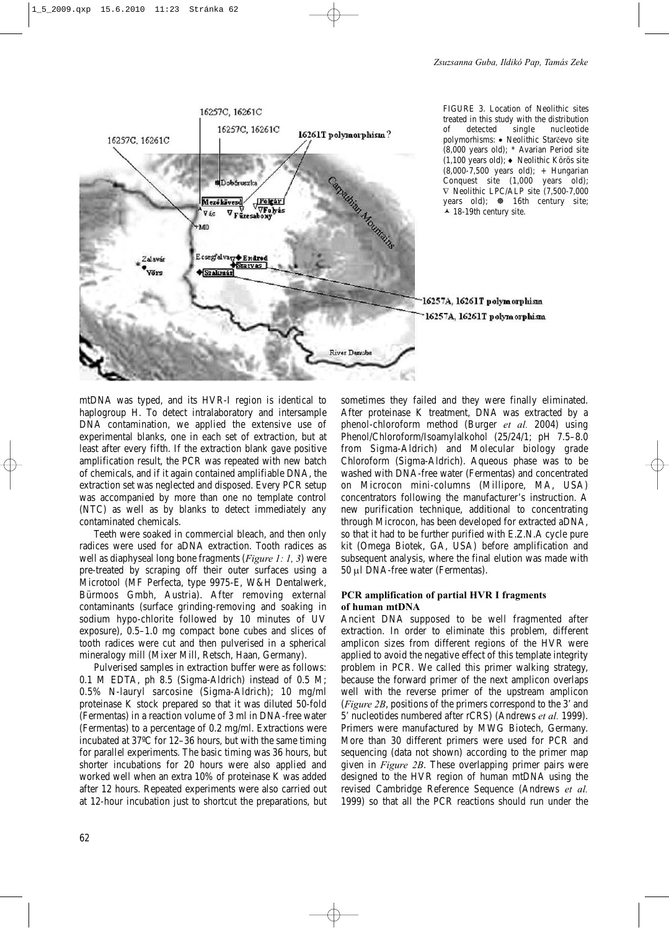

FIGURE 3. Location of Neolithic sites treated in this study with the distribution of detected single nucleotide polymorhisms: • Neolithic Starčevo site (8,000 years old); \* Avarian Period site (1,100 years old); ♦ Neolithic Körös site (8,000-7,500 years old); + Hungarian Conquest site (1,000 years old); ∇ Neolithic LPC/ALP site (7,500-7,000 years old);  $\otimes$  16th century site; ▲ 18-19th century site.

## 16257A, 16261T polymorphism 16257A, 16261T polymorphism

mtDNA was typed, and its HVR-I region is identical to haplogroup H. To detect intralaboratory and intersample DNA contamination, we applied the extensive use of experimental blanks, one in each set of extraction, but at least after every fifth. If the extraction blank gave positive amplification result, the PCR was repeated with new batch of chemicals, and if it again contained amplifiable DNA, the extraction set was neglected and disposed. Every PCR setup was accompanied by more than one no template control (NTC) as well as by blanks to detect immediately any contaminated chemicals.

Teeth were soaked in commercial bleach, and then only radices were used for aDNA extraction. Tooth radices as well as diaphyseal long bone fragments (*Figure 1: 1, 3*) were pre-treated by scraping off their outer surfaces using a Microtool (MF Perfecta, type 9975-E, W&H Dentalwerk, Bürmoos Gmbh, Austria). After removing external contaminants (surface grinding-removing and soaking in sodium hypo-chlorite followed by 10 minutes of UV exposure), 0.5–1.0 mg compact bone cubes and slices of tooth radices were cut and then pulverised in a spherical mineralogy mill (Mixer Mill, Retsch, Haan, Germany).

Pulverised samples in extraction buffer were as follows: 0.1 M EDTA, ph 8.5 (Sigma-Aldrich) instead of 0.5 M; 0.5% N-lauryl sarcosine (Sigma-Aldrich); 10 mg/ml proteinase K stock prepared so that it was diluted 50-fold (Fermentas) in a reaction volume of 3 ml in DNA-free water (Fermentas) to a percentage of 0.2 mg/ml. Extractions were incubated at 37ºC for 12–36 hours, but with the same timing for parallel experiments. The basic timing was 36 hours, but shorter incubations for 20 hours were also applied and worked well when an extra 10% of proteinase K was added after 12 hours. Repeated experiments were also carried out at 12-hour incubation just to shortcut the preparations, but sometimes they failed and they were finally eliminated. After proteinase K treatment, DNA was extracted by a phenol-chloroform method (Burger *et al.* 2004) using Phenol/Chloroform/Isoamylalkohol (25/24/1; pH 7.5–8.0 from Sigma-Aldrich) and Molecular biology grade Chloroform (Sigma-Aldrich). Aqueous phase was to be washed with DNA-free water (Fermentas) and concentrated on Microcon mini-columns (Millipore, MA, USA) concentrators following the manufacturer's instruction. A new purification technique, additional to concentrating through Microcon, has been developed for extracted aDNA, so that it had to be further purified with E.Z.N.A cycle pure kit (Omega Biotek, GA, USA) before amplification and subsequent analysis, where the final elution was made with 50 µl DNA-free water (Fermentas).

## **PCR amplification of partial HVR I fragments of human mtDNA**

Ancient DNA supposed to be well fragmented after extraction. In order to eliminate this problem, different amplicon sizes from different regions of the HVR were applied to avoid the negative effect of this template integrity problem in PCR. We called this primer walking strategy, because the forward primer of the next amplicon overlaps well with the reverse primer of the upstream amplicon (*Figure 2B*, positions of the primers correspond to the 3' and 5' nucleotides numbered after rCRS) (Andrews *et al.* 1999). Primers were manufactured by MWG Biotech, Germany. More than 30 different primers were used for PCR and sequencing (data not shown) according to the primer map given in *Figure 2B*. These overlapping primer pairs were designed to the HVR region of human mtDNA using the revised Cambridge Reference Sequence (Andrews *et al.* 1999) so that all the PCR reactions should run under the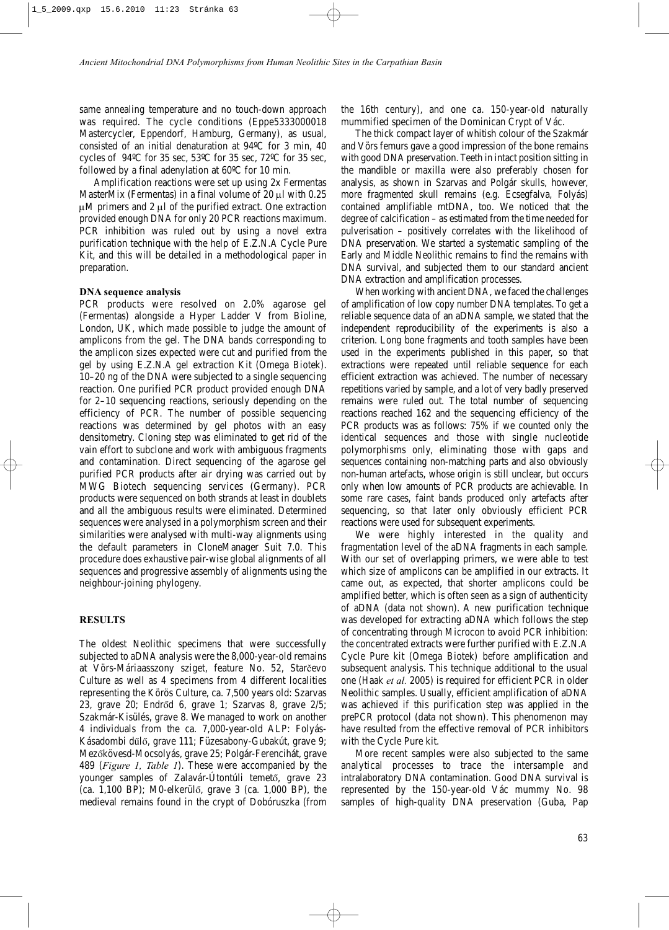same annealing temperature and no touch-down approach was required. The cycle conditions (Eppe5333000018 Mastercycler, Eppendorf, Hamburg, Germany), as usual, consisted of an initial denaturation at 94ºC for 3 min, 40 cycles of 94ºC for 35 sec, 53ºC for 35 sec, 72ºC for 35 sec, followed by a final adenylation at 60ºC for 10 min.

Amplification reactions were set up using 2x Fermentas MasterMix (Fermentas) in a final volume of  $20 \mu l$  with 0.25  $\mu$ M primers and 2  $\mu$ l of the purified extract. One extraction provided enough DNA for only 20 PCR reactions maximum. PCR inhibition was ruled out by using a novel extra purification technique with the help of E.Z.N.A Cycle Pure Kit, and this will be detailed in a methodological paper in preparation.

#### **DNA sequence analysis**

PCR products were resolved on 2.0% agarose gel (Fermentas) alongside a Hyper Ladder V from Bioline, London, UK, which made possible to judge the amount of amplicons from the gel. The DNA bands corresponding to the amplicon sizes expected were cut and purified from the gel by using E.Z.N.A gel extraction Kit (Omega Biotek). 10–20 ng of the DNA were subjected to a single sequencing reaction. One purified PCR product provided enough DNA for 2–10 sequencing reactions, seriously depending on the efficiency of PCR. The number of possible sequencing reactions was determined by gel photos with an easy densitometry. Cloning step was eliminated to get rid of the vain effort to subclone and work with ambiguous fragments and contamination. Direct sequencing of the agarose gel purified PCR products after air drying was carried out by MWG Biotech sequencing services (Germany). PCR products were sequenced on both strands at least in doublets and all the ambiguous results were eliminated. Determined sequences were analysed in a polymorphism screen and their similarities were analysed with multi-way alignments using the default parameters in CloneManager Suit 7.0. This procedure does exhaustive pair-wise global alignments of all sequences and progressive assembly of alignments using the neighbour-joining phylogeny.

#### **RESULTS**

The oldest Neolithic specimens that were successfully subjected to aDNA analysis were the 8,000-year-old remains at Vörs-Máriaasszony sziget, feature No. 52, Starčevo Culture as well as 4 specimens from 4 different localities representing the Körös Culture, ca. 7,500 years old: Szarvas 23, grave 20; Endrőd 6, grave 1; Szarvas 8, grave 2/5; Szakmár-Kisülés, grave 8. We managed to work on another 4 individuals from the ca. 7,000-year-old ALP: Folyás-Kásadombi dűlő, grave 111; Füzesabony-Gubakút, grave 9; Mezőkövesd-Mocsolyás, grave 25; Polgár-Ferencihát, grave 489 (*Figure 1, Table 1*). These were accompanied by the younger samples of Zalavár-Útontúli temető, grave 23 (ca. 1,100 BP); M0-elkerülő, grave 3 (ca. 1,000 BP), the medieval remains found in the crypt of Dobóruszka (from the 16th century), and one ca. 150-year-old naturally mummified specimen of the Dominican Crypt of Vác.

The thick compact layer of whitish colour of the Szakmár and Vörs femurs gave a good impression of the bone remains with good DNA preservation. Teeth in intact position sitting in the mandible or maxilla were also preferably chosen for analysis, as shown in Szarvas and Polgár skulls, however, more fragmented skull remains (e.g. Ecsegfalva, Folyás) contained amplifiable mtDNA, too. We noticed that the degree of calcification – as estimated from the time needed for pulverisation – positively correlates with the likelihood of DNA preservation. We started a systematic sampling of the Early and Middle Neolithic remains to find the remains with DNA survival, and subjected them to our standard ancient DNA extraction and amplification processes.

When working with ancient DNA, we faced the challenges of amplification of low copy number DNA templates. To get a reliable sequence data of an aDNA sample, we stated that the independent reproducibility of the experiments is also a criterion. Long bone fragments and tooth samples have been used in the experiments published in this paper, so that extractions were repeated until reliable sequence for each efficient extraction was achieved. The number of necessary repetitions varied by sample, and a lot of very badly preserved remains were ruled out. The total number of sequencing reactions reached 162 and the sequencing efficiency of the PCR products was as follows: 75% if we counted only the identical sequences and those with single nucleotide polymorphisms only, eliminating those with gaps and sequences containing non-matching parts and also obviously non-human artefacts, whose origin is still unclear, but occurs only when low amounts of PCR products are achievable. In some rare cases, faint bands produced only artefacts after sequencing, so that later only obviously efficient PCR reactions were used for subsequent experiments.

We were highly interested in the quality and fragmentation level of the aDNA fragments in each sample. With our set of overlapping primers, we were able to test which size of amplicons can be amplified in our extracts. It came out, as expected, that shorter amplicons could be amplified better, which is often seen as a sign of authenticity of aDNA (data not shown). A new purification technique was developed for extracting aDNA which follows the step of concentrating through Microcon to avoid PCR inhibition: the concentrated extracts were further purified with E.Z.N.A Cycle Pure kit (Omega Biotek) before amplification and subsequent analysis. This technique additional to the usual one (Haak *et al.* 2005) is required for efficient PCR in older Neolithic samples. Usually, efficient amplification of aDNA was achieved if this purification step was applied in the prePCR protocol (data not shown). This phenomenon may have resulted from the effective removal of PCR inhibitors with the Cycle Pure kit.

More recent samples were also subjected to the same analytical processes to trace the intersample and intralaboratory DNA contamination. Good DNA survival is represented by the 150-year-old Vác mummy No. 98 samples of high-quality DNA preservation (Guba, Pap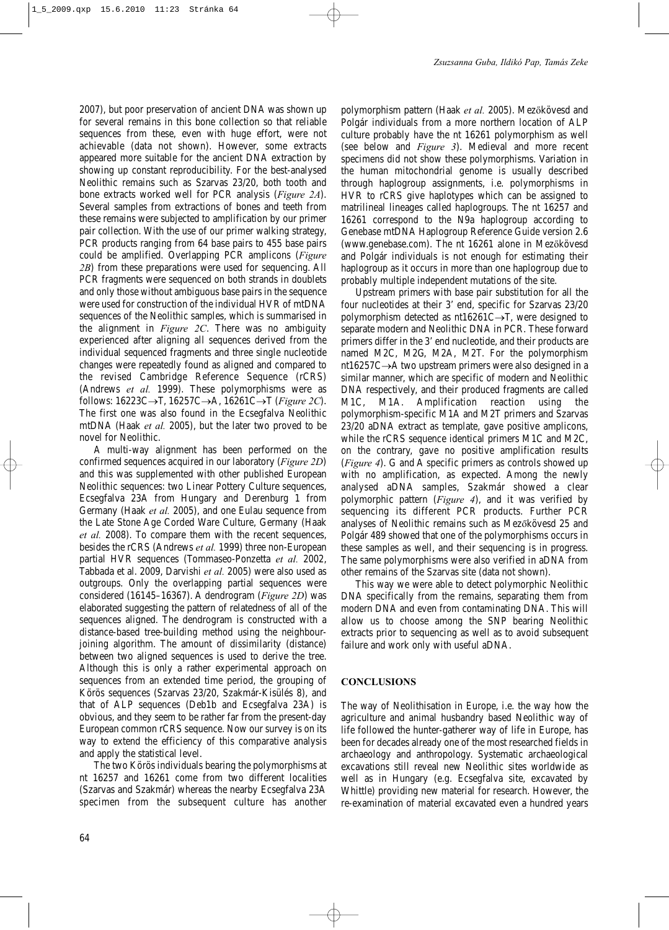2007), but poor preservation of ancient DNA was shown up for several remains in this bone collection so that reliable sequences from these, even with huge effort, were not achievable (data not shown). However, some extracts appeared more suitable for the ancient DNA extraction by showing up constant reproducibility. For the best-analysed Neolithic remains such as Szarvas 23/20, both tooth and bone extracts worked well for PCR analysis (*Figure 2A*). Several samples from extractions of bones and teeth from these remains were subjected to amplification by our primer pair collection. With the use of our primer walking strategy, PCR products ranging from 64 base pairs to 455 base pairs could be amplified. Overlapping PCR amplicons (*Figure 2B*) from these preparations were used for sequencing. All PCR fragments were sequenced on both strands in doublets and only those without ambiguous base pairs in the sequence were used for construction of the individual HVR of mtDNA sequences of the Neolithic samples, which is summarised in the alignment in *Figure 2C*. There was no ambiguity experienced after aligning all sequences derived from the individual sequenced fragments and three single nucleotide changes were repeatedly found as aligned and compared to the revised Cambridge Reference Sequence (rCRS) (Andrews *et al.* 1999). These polymorphisms were as follows: 16223C→T, 16257C→A, 16261C→T (*Figure 2C*). The first one was also found in the Ecsegfalva Neolithic mtDNA (Haak *et al.* 2005), but the later two proved to be novel for Neolithic.

A multi-way alignment has been performed on the confirmed sequences acquired in our laboratory (*Figure 2D*) and this was supplemented with other published European Neolithic sequences: two Linear Pottery Culture sequences, Ecsegfalva 23A from Hungary and Derenburg 1 from Germany (Haak *et al.* 2005), and one Eulau sequence from the Late Stone Age Corded Ware Culture, Germany (Haak *et al.* 2008). To compare them with the recent sequences, besides the rCRS (Andrews *et al.* 1999) three non-European partial HVR sequences (Tommaseo-Ponzetta *et al.* 2002, Tabbada et al. 2009, Darvishi *et al.* 2005) were also used as outgroups. Only the overlapping partial sequences were considered (16145–16367). A dendrogram (*Figure 2D*) was elaborated suggesting the pattern of relatedness of all of the sequences aligned. The dendrogram is constructed with a distance-based tree-building method using the neighbourjoining algorithm. The amount of dissimilarity (distance) between two aligned sequences is used to derive the tree. Although this is only a rather experimental approach on sequences from an extended time period, the grouping of Körös sequences (Szarvas 23/20, Szakmár-Kisülés 8), and that of ALP sequences (Deb1b and Ecsegfalva 23A) is obvious, and they seem to be rather far from the present-day European common rCRS sequence. Now our survey is on its way to extend the efficiency of this comparative analysis and apply the statistical level.

The two Körös individuals bearing the polymorphisms at nt 16257 and 16261 come from two different localities (Szarvas and Szakmár) whereas the nearby Ecsegfalva 23A specimen from the subsequent culture has another polymorphism pattern (Haak *et al.* 2005). Mezőkövesd and Polgár individuals from a more northern location of ALP culture probably have the nt 16261 polymorphism as well (see below and *Figure 3*). Medieval and more recent specimens did not show these polymorphisms. Variation in the human mitochondrial genome is usually described through haplogroup assignments, i.e. polymorphisms in HVR to rCRS give haplotypes which can be assigned to matrilineal lineages called haplogroups. The nt 16257 and 16261 correspond to the N9a haplogroup according to Genebase mtDNA Haplogroup Reference Guide version 2.6 (www.genebase.com). The nt 16261 alone in Mezőkövesd and Polgár individuals is not enough for estimating their haplogroup as it occurs in more than one haplogroup due to probably multiple independent mutations of the site.

Upstream primers with base pair substitution for all the four nucleotides at their 3' end, specific for Szarvas 23/20 polymorphism detected as nt16261C→T, were designed to separate modern and Neolithic DNA in PCR. These forward primers differ in the 3' end nucleotide, and their products are named M2C, M2G, M2A, M2T. For the polymorphism nt16257C→A two upstream primers were also designed in a similar manner, which are specific of modern and Neolithic DNA respectively, and their produced fragments are called M1C, M1A. Amplification reaction using the polymorphism-specific M1A and M2T primers and Szarvas 23/20 aDNA extract as template, gave positive amplicons, while the rCRS sequence identical primers M1C and M2C, on the contrary, gave no positive amplification results (*Figure 4*). G and A specific primers as controls showed up with no amplification, as expected. Among the newly analysed aDNA samples, Szakmár showed a clear polymorphic pattern (*Figure 4*), and it was verified by sequencing its different PCR products. Further PCR analyses of Neolithic remains such as Mezőkövesd 25 and Polgár 489 showed that one of the polymorphisms occurs in these samples as well, and their sequencing is in progress. The same polymorphisms were also verified in aDNA from other remains of the Szarvas site (data not shown).

This way we were able to detect polymorphic Neolithic DNA specifically from the remains, separating them from modern DNA and even from contaminating DNA. This will allow us to choose among the SNP bearing Neolithic extracts prior to sequencing as well as to avoid subsequent failure and work only with useful aDNA.

## **CONCLUSIONS**

The way of Neolithisation in Europe, i.e. the way how the agriculture and animal husbandry based Neolithic way of life followed the hunter-gatherer way of life in Europe, has been for decades already one of the most researched fields in archaeology and anthropology. Systematic archaeological excavations still reveal new Neolithic sites worldwide as well as in Hungary (e.g. Ecsegfalva site, excavated by Whittle) providing new material for research. However, the re-examination of material excavated even a hundred years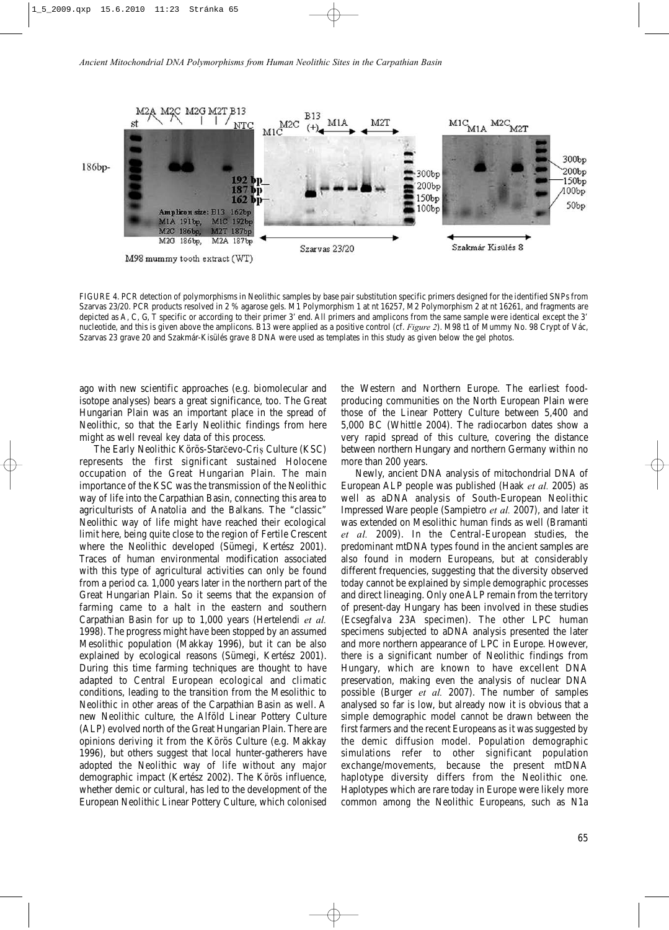

FIGURE 4. PCR detection of polymorphisms in Neolithic samples by base pair substitution specific primers designed for the identified SNPs from Szarvas 23/20. PCR products resolved in 2 % agarose gels. M1 Polymorphism 1 at nt 16257, M2 Polymorphism 2 at nt 16261, and fragments are depicted as A, C, G, T specific or according to their primer 3' end. All primers and amplicons from the same sample were identical except the 3' nucleotide, and this is given above the amplicons. B13 were applied as a positive control (cf. *Figure 2*). M98 t1 of Mummy No. 98 Crypt of Vác, Szarvas 23 grave 20 and Szakmár-Kisülés grave 8 DNA were used as templates in this study as given below the gel photos.

ago with new scientific approaches (e.g. biomolecular and isotope analyses) bears a great significance, too. The Great Hungarian Plain was an important place in the spread of Neolithic, so that the Early Neolithic findings from here might as well reveal key data of this process.

The Early Neolithic Körös-Starčevo-Criș Culture (KSC) represents the first significant sustained Holocene occupation of the Great Hungarian Plain. The main importance of the KSC was the transmission of the Neolithic way of life into the Carpathian Basin, connecting this area to agriculturists of Anatolia and the Balkans. The "classic" Neolithic way of life might have reached their ecological limit here, being quite close to the region of Fertile Crescent where the Neolithic developed (Sümegi, Kertész 2001). Traces of human environmental modification associated with this type of agricultural activities can only be found from a period ca. 1,000 years later in the northern part of the Great Hungarian Plain. So it seems that the expansion of farming came to a halt in the eastern and southern Carpathian Basin for up to 1,000 years (Hertelendi *et al.* 1998). The progress might have been stopped by an assumed Mesolithic population (Makkay 1996), but it can be also explained by ecological reasons (Sümegi, Kertész 2001). During this time farming techniques are thought to have adapted to Central European ecological and climatic conditions, leading to the transition from the Mesolithic to Neolithic in other areas of the Carpathian Basin as well. A new Neolithic culture, the Alföld Linear Pottery Culture (ALP) evolved north of the Great Hungarian Plain. There are opinions deriving it from the Körös Culture (e.g. Makkay 1996), but others suggest that local hunter-gatherers have adopted the Neolithic way of life without any major demographic impact (Kertész 2002). The Körös influence, whether demic or cultural, has led to the development of the European Neolithic Linear Pottery Culture, which colonised the Western and Northern Europe. The earliest foodproducing communities on the North European Plain were those of the Linear Pottery Culture between 5,400 and 5,000 BC (Whittle 2004). The radiocarbon dates show a very rapid spread of this culture, covering the distance between northern Hungary and northern Germany within no more than 200 years.

Newly, ancient DNA analysis of mitochondrial DNA of European ALP people was published (Haak *et al.* 2005) as well as aDNA analysis of South-European Neolithic Impressed Ware people (Sampietro *et al.* 2007), and later it was extended on Mesolithic human finds as well (Bramanti *et al.* 2009). In the Central-European studies, the predominant mtDNA types found in the ancient samples are also found in modern Europeans, but at considerably different frequencies, suggesting that the diversity observed today cannot be explained by simple demographic processes and direct lineaging. Only one ALP remain from the territory of present-day Hungary has been involved in these studies (Ecsegfalva 23A specimen). The other LPC human specimens subjected to aDNA analysis presented the later and more northern appearance of LPC in Europe. However, there is a significant number of Neolithic findings from Hungary, which are known to have excellent DNA preservation, making even the analysis of nuclear DNA possible (Burger *et al.* 2007). The number of samples analysed so far is low, but already now it is obvious that a simple demographic model cannot be drawn between the first farmers and the recent Europeans as it was suggested by the demic diffusion model. Population demographic simulations refer to other significant population exchange/movements, because the present mtDNA haplotype diversity differs from the Neolithic one. Haplotypes which are rare today in Europe were likely more common among the Neolithic Europeans, such as N1a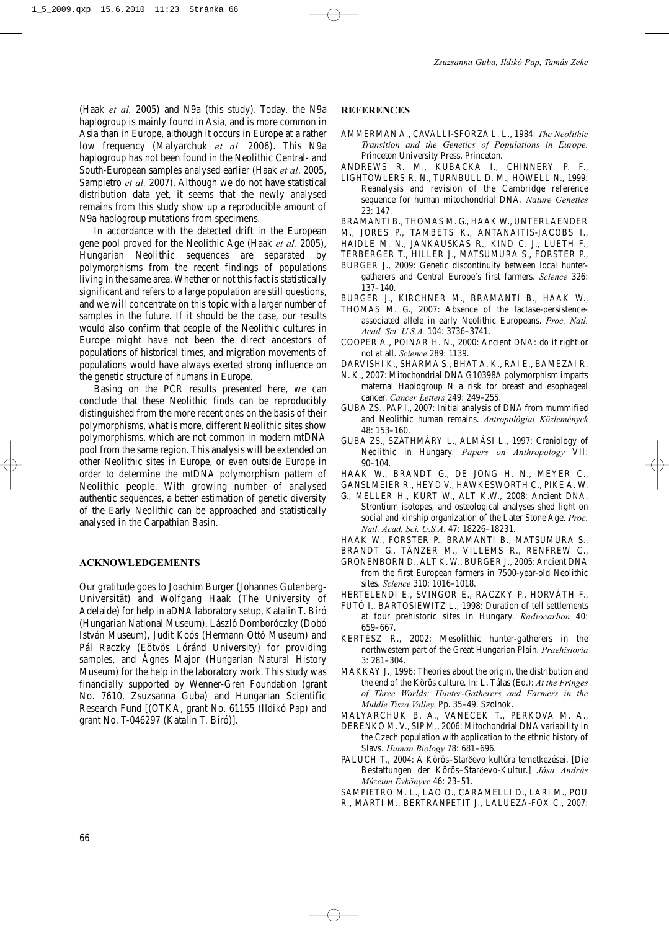(Haak *et al.* 2005) and N9a (this study). Today, the N9a haplogroup is mainly found in Asia, and is more common in Asia than in Europe, although it occurs in Europe at a rather low frequency (Malyarchuk *et al.* 2006). This N9a haplogroup has not been found in the Neolithic Central- and South-European samples analysed earlier (Haak *et al*. 2005, Sampietro *et al.* 2007). Although we do not have statistical distribution data yet, it seems that the newly analysed remains from this study show up a reproducible amount of N9a haplogroup mutations from specimens.

In accordance with the detected drift in the European gene pool proved for the Neolithic Age (Haak *et al.* 2005), Hungarian Neolithic sequences are separated by polymorphisms from the recent findings of populations living in the same area. Whether or not this fact is statistically significant and refers to a large population are still questions, and we will concentrate on this topic with a larger number of samples in the future. If it should be the case, our results would also confirm that people of the Neolithic cultures in Europe might have not been the direct ancestors of populations of historical times, and migration movements of populations would have always exerted strong influence on the genetic structure of humans in Europe.

Basing on the PCR results presented here, we can conclude that these Neolithic finds can be reproducibly distinguished from the more recent ones on the basis of their polymorphisms, what is more, different Neolithic sites show polymorphisms, which are not common in modern mtDNA pool from the same region. This analysis will be extended on other Neolithic sites in Europe, or even outside Europe in order to determine the mtDNA polymorphism pattern of Neolithic people. With growing number of analysed authentic sequences, a better estimation of genetic diversity of the Early Neolithic can be approached and statistically analysed in the Carpathian Basin.

#### **ACKNOWLEDGEMENTS**

Our gratitude goes to Joachim Burger (Johannes Gutenberg-Universität) and Wolfgang Haak (The University of Adelaide) for help in aDNA laboratory setup, Katalin T. Bíró (Hungarian National Museum), László Domboróczky (Dobó István Museum), Judit Koós (Hermann Ottó Museum) and Pál Raczky (Eötvös Lóránd University) for providing samples, and Ágnes Major (Hungarian Natural History Museum) for the help in the laboratory work. This study was financially supported by Wenner-Gren Foundation (grant No. 7610, Zsuzsanna Guba) and Hungarian Scientific Research Fund [(OTKA, grant No. 61155 (Ildikó Pap) and grant No. T-046297 (Katalin T. Bíró)].

#### **REFERENCES**

- AMMERMAN A., CAVALLI-SFORZA L. L., 1984: *The Neolithic Transition and the Genetics of Populations in Europe.* Princeton University Press, Princeton.
- ANDREWS R. M., KUBACKA I., CHINNERY P. F.,
- LIGHTOWLERS R. N., TURNBULL D. M., HOWELL N., 1999: Reanalysis and revision of the Cambridge reference sequence for human mitochondrial DNA. *Nature Genetics* 23: 147.
- BRAMANTI B., THOMAS M. G., HAAK W., UNTERLAENDER
- M., JORES P., TAMBETS K., ANTANAITIS-JACOBS I.,
- HAIDLE M. N., JANKAUSKAS R., KIND C. J., LUETH F.,
- TERBERGER T., HILLER J., MATSUMURA S., FORSTER P.,
- BURGER J., 2009: Genetic discontinuity between local huntergatherers and Central Europe's first farmers. *Science* 326: 137–140.
- BURGER J., KIRCHNER M., BRAMANTI B., HAAK W.,
- THOMAS M. G., 2007: Absence of the lactase-persistenceassociated allele in early Neolithic Europeans. *Proc. Natl. Acad. Sci. U.S.A.* 104: 3736–3741.
- COOPER A., POINAR H. N., 2000: Ancient DNA: do it right or not at all. *Science* 289: 1139.
- DARVISHI K., SHARMA S., BHAT A. K., RAI E., BAMEZAI R.
- N. K., 2007: Mitochondrial DNA G10398A polymorphism imparts maternal Haplogroup N a risk for breast and esophageal cancer. *Cancer Letters* 249: 249–255.
- GUBA ZS., PAP I., 2007: Initial analysis of DNA from mummified and Neolithic human remains. *Antropológiai Közlemények* 48: 153–160.
- GUBA ZS., SZATHMÁRY L., ALMÁSI L., 1997: Craniology of Neolithic in Hungary. *Papers on Anthropology* VII: 90–104.
- HAAK W., BRANDT G., DE JONG H. N., MEYER C.,
- GANSLMEIER R., HEYD V., HAWKESWORTH C., PIKE A. W.
- G., MELLER H., KURT W., ALT K.W., 2008: Ancient DNA, Strontium isotopes, and osteological analyses shed light on social and kinship organization of the Later Stone Age. *Proc. Natl. Acad. Sci. U.S.A*. 47: 18226–18231.
- HAAK W., FORSTER P., BRAMANTI B., MATSUMURA S.,
- BRANDT G., TÄNZER M., VILLEMS R., RENFREW C.,
- GRONENBORN D., ALT K. W., BURGER J., 2005: Ancient DNA from the first European farmers in 7500-year-old Neolithic sites. *Science* 310: 1016–1018.
- HERTELENDI E., SVINGOR É., RACZKY P., HORVÁTH F.,
- FUTÓ I., BARTOSIEWITZ L., 1998: Duration of tell settlements at four prehistoric sites in Hungary. *Radiocarbon* 40: 659–667.
- KERTÉSZ R., 2002: Mesolithic hunter-gatherers in the northwestern part of the Great Hungarian Plain. *Praehistoria* 3: 281–304.
- MAKKAY J., 1996: Theories about the origin, the distribution and the end of the Körös culture. In: L. Tálas (Ed.): *At the Fringes of Three Worlds: Hunter-Gatherers and Farmers in the Middle Tisza Valley.* Pp. 35–49. Szolnok.
- MALYARCHUK B. A., VANECEK T., PERKOVA M. A.,
- DERENKO M. V., SIP M., 2006: Mitochondrial DNA variability in the Czech population with application to the ethnic history of Slavs. *Human Biology* 78: 681–696.
- PALUCH T., 2004: A Körös–Starčevo kultúra temetkezései. [Die Bestattungen der Körös–Starčevo-Kultur.] *Jósa András Múzeum Évkönyve* 46: 23–51.

SAMPIETRO M. L., LAO O., CARAMELLI D., LARI M., POU

R., MARTI M., BERTRANPETIT J., LALUEZA-FOX C., 2007: